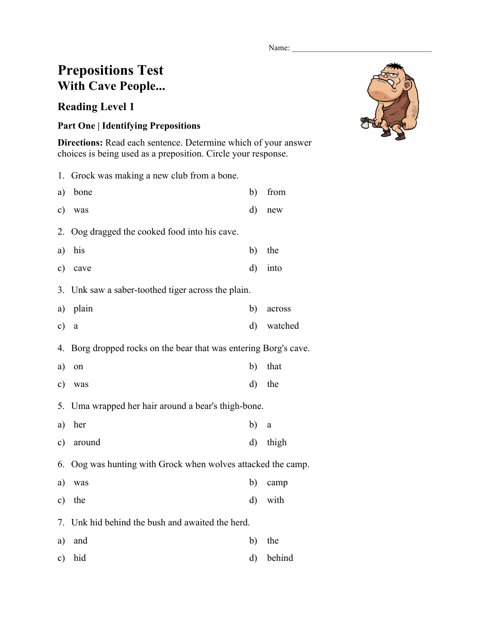Name:

## **Prepositions Test With Cave People...**

## **Reading Level 1**

## **Part One | Identifying Prepositions**

**Directions:** Read each sentence. Determine which of your answer choices is being used as a preposition. Circle your response.

|           | 1. Grock was making a new club from a bone.                   |         |          |  |
|-----------|---------------------------------------------------------------|---------|----------|--|
| a)        | bone                                                          | b)      | from     |  |
| c)        | was                                                           | d)      | new      |  |
| 2.        | Oog dragged the cooked food into his cave.                    |         |          |  |
| a)        | his                                                           | b)      | the      |  |
| c)        | cave                                                          | d)      | into     |  |
| 3.        | Unk saw a saber-toothed tiger across the plain.               |         |          |  |
| a)        | plain                                                         | b)      | across   |  |
| c)        | $\rm{a}$                                                      | d)      | watched  |  |
| 4.        | Borg dropped rocks on the bear that was entering Borg's cave. |         |          |  |
| a)        | on                                                            | b)      | that     |  |
| c)        | was                                                           | d)      | the      |  |
| 5.        | Uma wrapped her hair around a bear's thigh-bone.              |         |          |  |
| a)        | her                                                           | b)      | $\rm{a}$ |  |
| $\circ$ ) | around                                                        | $\rm d$ | thigh    |  |
| 6.        | Oog was hunting with Grock when wolves attacked the camp.     |         |          |  |
| a)        | was                                                           | b)      | camp     |  |
| c)        | the                                                           | d)      | with     |  |
| 7.        | Unk hid behind the bush and awaited the herd.                 |         |          |  |
| a)        | and                                                           | b)      | the      |  |
| c)        | hid                                                           | d)      | behind   |  |

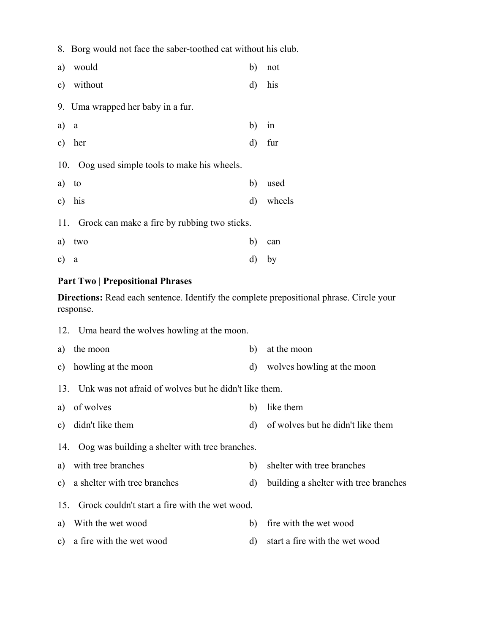8. Borg would not face the saber-toothed cat without his club.

|      | a) would                                      | b)      | not       |
|------|-----------------------------------------------|---------|-----------|
|      | c) without                                    | $\rm d$ | his       |
|      | 9. Uma wrapped her baby in a fur.             |         |           |
| a) a |                                               | b)      | in        |
|      | c) her                                        |         | d) fur    |
|      | 10. Oog used simple tools to make his wheels. |         |           |
|      | a) to                                         | b)      | used      |
|      | c) his                                        |         | d) wheels |
| 11.  | Grock can make a fire by rubbing two sticks.  |         |           |
| a)   | two                                           | b)      | can       |
| c) a |                                               |         | d) by     |

## **Part Two | Prepositional Phrases**

**Directions:** Read each sentence. Identify the complete prepositional phrase. Circle your response.

|    | 12. Uma heard the wolves howling at the moon.             |          |                                       |  |  |
|----|-----------------------------------------------------------|----------|---------------------------------------|--|--|
| a) | the moon                                                  | b)       | at the moon                           |  |  |
|    | c) howling at the moon                                    | $\rm d)$ | wolves howling at the moon            |  |  |
|    | 13. Unk was not afraid of wolves but he didn't like them. |          |                                       |  |  |
| a) | of wolves                                                 | b)       | like them                             |  |  |
|    | c) didn't like them                                       | d)       | of wolves but he didn't like them     |  |  |
|    | 14. Oog was building a shelter with tree branches.        |          |                                       |  |  |
|    | a) with tree branches                                     | b)       | shelter with tree branches            |  |  |
|    | c) a shelter with tree branches                           | $\rm d)$ | building a shelter with tree branches |  |  |
|    | 15. Grock couldn't start a fire with the wet wood.        |          |                                       |  |  |
| a) | With the wet wood                                         | b)       | fire with the wet wood                |  |  |
|    | c) a fire with the wet wood                               | d)       | start a fire with the wet wood        |  |  |
|    |                                                           |          |                                       |  |  |